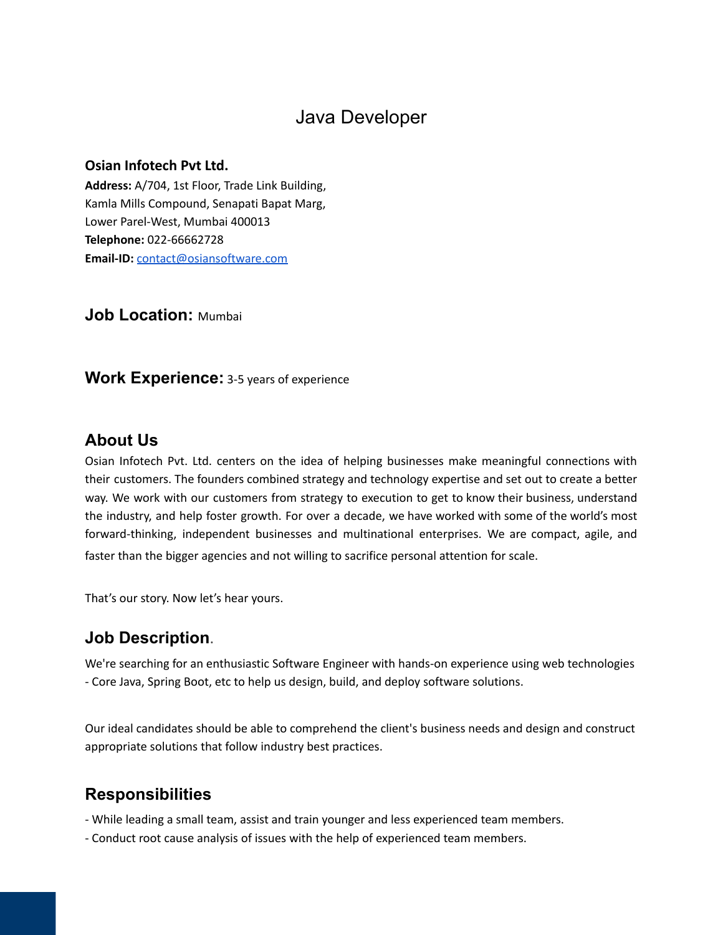# Java Developer

#### **Osian Infotech Pvt Ltd.**

**Address:** A/704, 1st Floor, Trade Link Building, Kamla Mills Compound, Senapati Bapat Marg, Lower Parel-West, Mumbai 400013 **Telephone:** 022-66662728 **Email-ID:** [contact@osiansoftware.com](mailto:contact@osiansoftware.com)

**Job Location:** Mumbai

**Work Experience:** 3-5 years of experience

#### **About Us**

Osian Infotech Pvt. Ltd. centers on the idea of helping businesses make meaningful connections with their customers. The founders combined strategy and technology expertise and set out to create a better way. We work with our customers from strategy to execution to get to know their business, understand the industry, and help foster growth. For over a decade, we have worked with some of the world's most forward-thinking, independent businesses and multinational enterprises. We are compact, agile, and faster than the bigger agencies and not willing to sacrifice personal attention for scale.

That's our story. Now let's hear yours.

### **Job Description**.

We're searching for an enthusiastic Software Engineer with hands-on experience using web technologies - Core Java, Spring Boot, etc to help us design, build, and deploy software solutions.

Our ideal candidates should be able to comprehend the client's business needs and design and construct appropriate solutions that follow industry best practices.

### **Responsibilities**

- While leading a small team, assist and train younger and less experienced team members.
- Conduct root cause analysis of issues with the help of experienced team members.